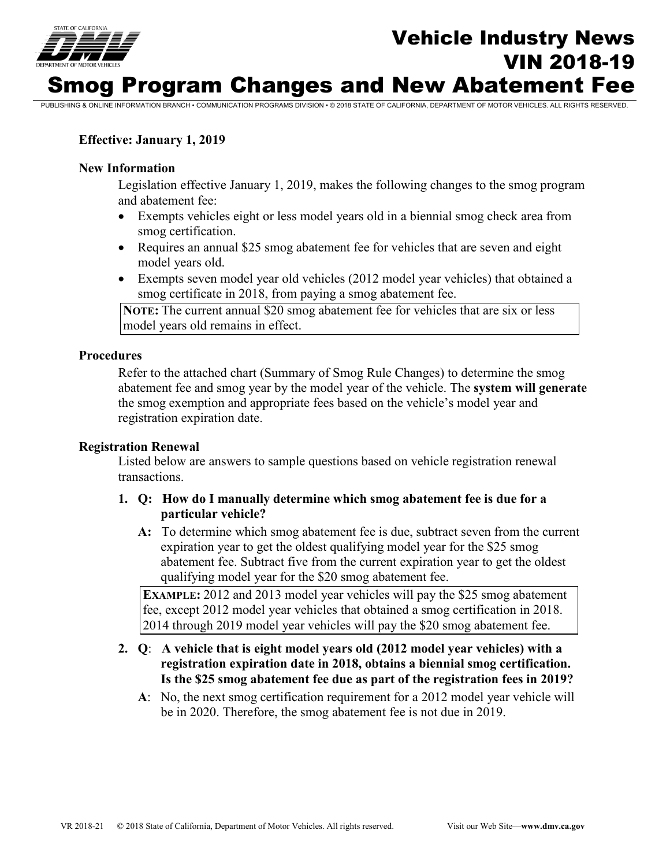

# **Vehicle Industry News** VIN 2018-19 Smog Program Changes and New Abatement Fee

PUBLISHING & ONLINE INFORMATION BRANCH • COMMUNICATION PROGRAMS DIVISION • © 2018 STATE OF CALIFORNIA, DEPARTMENT OF MOTOR VEHICLES. ALL RIGHTS RESERVED.

# **Effective: January 1, 2019**

#### **New Information**

Legislation effective January 1, 2019, makes the following changes to the smog program and abatement fee:

- Exempts vehicles eight or less model years old in a biennial smog check area from smog certification.
- Requires an annual \$25 smog abatement fee for vehicles that are seven and eight model years old.
- Exempts seven model year old vehicles (2012 model year vehicles) that obtained a smog certificate in 2018, from paying a smog abatement fee.

**NOTE:** The current annual \$20 smog abatement fee for vehicles that are six or less model years old remains in effect.

#### **Procedures**

Refer to the attached chart (Summary of Smog Rule Changes) to determine the smog abatement fee and smog year by the model year of the vehicle. The **system will generate**  the smog exemption and appropriate fees based on the vehicle's model year and registration expiration date.

#### **Registration Renewal**

Listed below are answers to sample questions based on vehicle registration renewal transactions.

# **1. Q: How do I manually determine which smog abatement fee is due for a particular vehicle?**

**A:** To determine which smog abatement fee is due, subtract seven from the current expiration year to get the oldest qualifying model year for the \$25 smog abatement fee. Subtract five from the current expiration year to get the oldest qualifying model year for the \$20 smog abatement fee.

**EXAMPLE:** 2012 and 2013 model year vehicles will pay the \$25 smog abatement fee, except 2012 model year vehicles that obtained a smog certification in 2018. 2014 through 2019 model year vehicles will pay the \$20 smog abatement fee.

- **2. Q**: **A vehicle that is eight model years old (2012 model year vehicles) with a registration expiration date in 2018, obtains a biennial smog certification. Is the \$25 smog abatement fee due as part of the registration fees in 2019?** 
	- **A**: No, the next smog certification requirement for a 2012 model year vehicle will be in 2020. Therefore, the smog abatement fee is not due in 2019.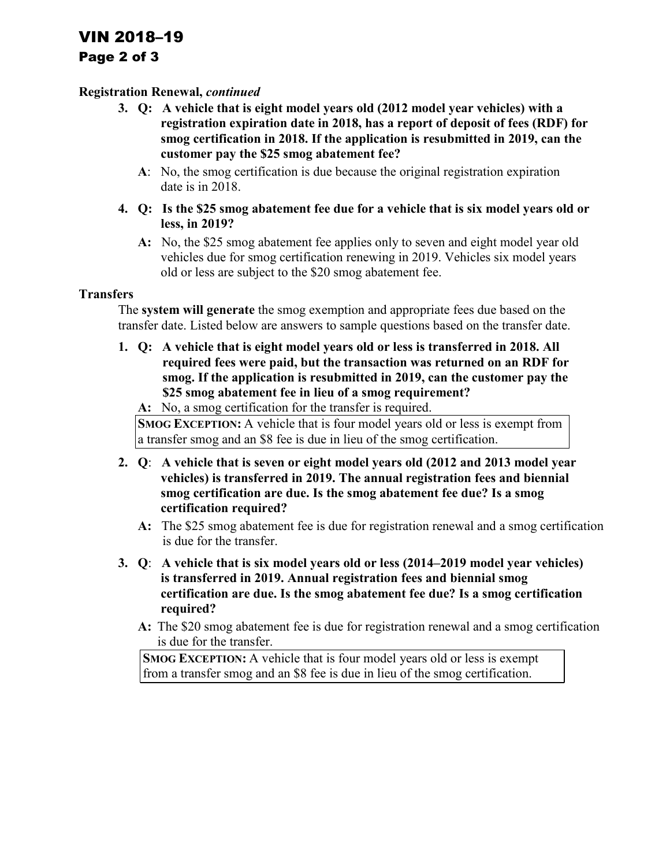# VIN 2018–19

# Page 2 of 3

# **Registration Renewal,** *continued*

- **3. Q: A vehicle that is eight model years old (2012 model year vehicles) with a registration expiration date in 2018, has a report of deposit of fees (RDF) for smog certification in 2018. If the application is resubmitted in 2019, can the customer pay the \$25 smog abatement fee?** 
	- **A**: No, the smog certification is due because the original registration expiration date is in 2018.
- **4. Q: Is the \$25 smog abatement fee due for a vehicle that is six model years old or less, in 2019?** 
	- **A:** No, the \$25 smog abatement fee applies only to seven and eight model year old vehicles due for smog certification renewing in 2019. Vehicles six model years old or less are subject to the \$20 smog abatement fee.

# **Transfers**

The **system will generate** the smog exemption and appropriate fees due based on the transfer date. Listed below are answers to sample questions based on the transfer date.

 **required fees were paid, but the transaction was returned on an RDF for 1. Q: A vehicle that is eight model years old or less is transferred in 2018. All smog. If the application is resubmitted in 2019, can the customer pay the \$25 smog abatement fee in lieu of a smog requirement?** 

**A:** No, a smog certification for the transfer is required.

**SMOG EXCEPTION:** A vehicle that is four model years old or less is exempt from a transfer smog and an \$8 fee is due in lieu of the smog certification.

- **2. Q**: **A vehicle that is seven or eight model years old (2012 and 2013 model year vehicles) is transferred in 2019. The annual registration fees and biennial smog certification are due. Is the smog abatement fee due? Is a smog certification required?** 
	- **A:** The \$25 smog abatement fee is due for registration renewal and a smog certification is due for the transfer.
- **3. Q**: **A vehicle that is six model years old or less (2014–2019 model year vehicles) is transferred in 2019. Annual registration fees and biennial smog certification are due. Is the smog abatement fee due? Is a smog certification required?** 
	- **A:** The \$20 smog abatement fee is due for registration renewal and a smog certification is due for the transfer.

 from a transfer smog and an \$8 fee is due in lieu of the smog certification. **SMOG EXCEPTION:** A vehicle that is four model years old or less is exempt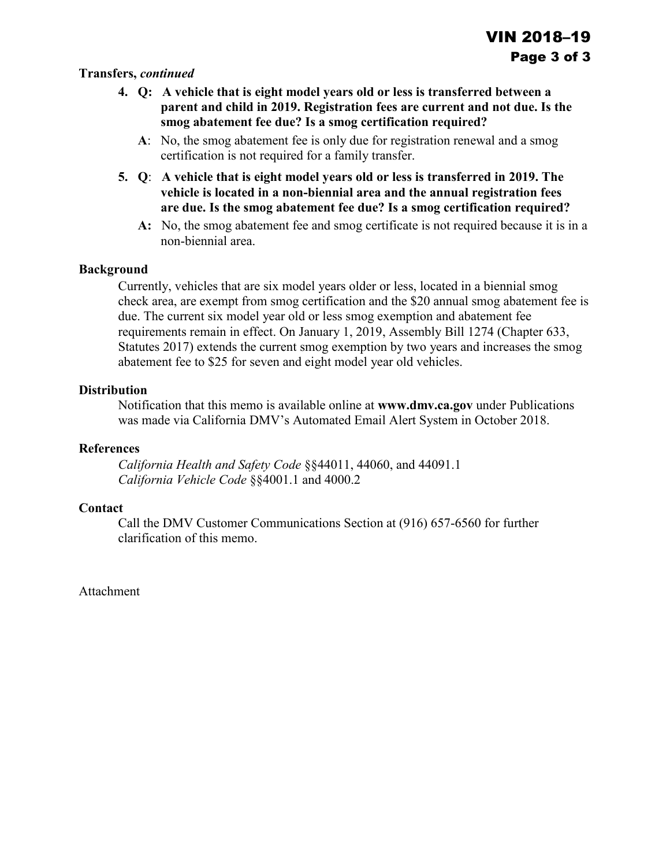# **Transfers,** *continued*

- **parent and child in 2019. Registration fees are current and not due. Is the 4. Q: A vehicle that is eight model years old or less is transferred between a smog abatement fee due? Is a smog certification required?** 
	- **A**: No, the smog abatement fee is only due for registration renewal and a smog certification is not required for a family transfer.
- **5. Q**: **A vehicle that is eight model years old or less is transferred in 2019. The vehicle is located in a non-biennial area and the annual registration fees are due. Is the smog abatement fee due? Is a smog certification required?** 
	- **A:** No, the smog abatement fee and smog certificate is not required because it is in a non-biennial area.

# **Background**

 Currently, vehicles that are six model years older or less, located in a biennial smog abatement fee to \$25 for seven and eight model year old vehicles. check area, are exempt from smog certification and the \$20 annual smog abatement fee is due. The current six model year old or less smog exemption and abatement fee requirements remain in effect. On January 1, 2019, Assembly Bill 1274 (Chapter 633, Statutes 2017) extends the current smog exemption by two years and increases the smog

# **Distribution**

Notification that this memo is available online at **www.dmv.ca.gov** under Publications was made via California DMV's Automated Email Alert System in October 2018.

# **References**

*California Health and Safety Code* §§44011, 44060, and 44091.1 *California Vehicle Code* §§4001.1 and 4000.2

# **Contact**

Call the DMV Customer Communications Section at (916) 657-6560 for further clarification of this memo.

Attachment